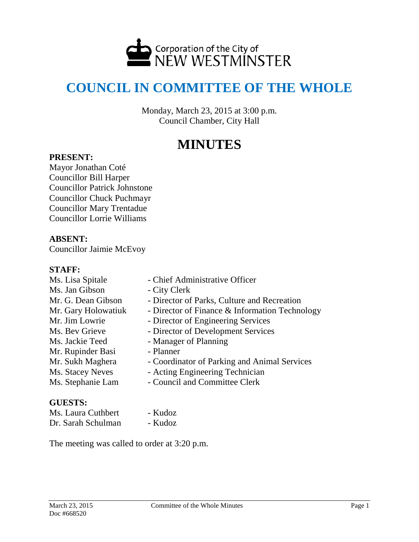

# **COUNCIL IN COMMITTEE OF THE WHOLE**

Monday, March 23, 2015 at 3:00 p.m. Council Chamber, City Hall

# **MINUTES**

#### **PRESENT:**

Mayor Jonathan Coté Councillor Bill Harper Councillor Patrick Johnstone Councillor Chuck Puchmayr Councillor Mary Trentadue Councillor Lorrie Williams

## **ABSENT:**

Councillor Jaimie McEvoy

#### **STAFF:**

Ms. Lisa Spitale - Chief Administrative Officer Ms. Jan Gibson - City Clerk Mr. G. Dean Gibson - Director of Parks, Culture and Recreation Mr. Gary Holowatiuk - Director of Finance & Information Technology Mr. Jim Lowrie - Director of Engineering Services Ms. Bev Grieve - Director of Development Services Ms. Jackie Teed - Manager of Planning Mr. Rupinder Basi - Planner Mr. Sukh Maghera - Coordinator of Parking and Animal Services Ms. Stacey Neves - Acting Engineering Technician Ms. Stephanie Lam - Council and Committee Clerk

## **GUESTS:**

Ms. Laura Cuthbert - Kudoz Dr. Sarah Schulman - Kudoz

- 
- 

The meeting was called to order at 3:20 p.m.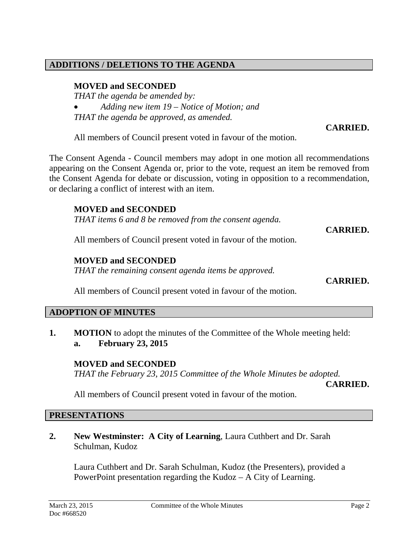## **ADDITIONS / DELETIONS TO THE AGENDA**

## **MOVED and SECONDED**

*THAT the agenda be amended by:*

- *Adding new item 19 – Notice of Motion; and*
- *THAT the agenda be approved, as amended.*

# **CARRIED.**

All members of Council present voted in favour of the motion.

The Consent Agenda - Council members may adopt in one motion all recommendations appearing on the Consent Agenda or, prior to the vote, request an item be removed from the Consent Agenda for debate or discussion, voting in opposition to a recommendation, or declaring a conflict of interest with an item.

## **MOVED and SECONDED**

*THAT items 6 and 8 be removed from the consent agenda.*

#### **CARRIED.**

All members of Council present voted in favour of the motion.

## **MOVED and SECONDED**

*THAT the remaining consent agenda items be approved.*

**CARRIED.**

All members of Council present voted in favour of the motion.

## **ADOPTION OF MINUTES**

**1. MOTION** to adopt the minutes of the Committee of the Whole meeting held: **a. February 23, 2015**

## **MOVED and SECONDED**

*THAT the February 23, 2015 Committee of the Whole Minutes be adopted.*

**CARRIED.**

All members of Council present voted in favour of the motion.

#### **PRESENTATIONS**

**2. New Westminster: A City of Learning**, Laura Cuthbert and Dr. Sarah Schulman, Kudoz

Laura Cuthbert and Dr. Sarah Schulman, Kudoz (the Presenters), provided a PowerPoint presentation regarding the Kudoz – A City of Learning.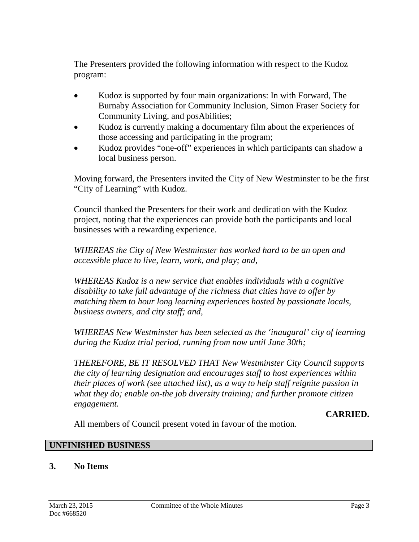The Presenters provided the following information with respect to the Kudoz program:

- Kudoz is supported by four main organizations: In with Forward, The Burnaby Association for Community Inclusion, Simon Fraser Society for Community Living, and posAbilities;
- Kudoz is currently making a documentary film about the experiences of those accessing and participating in the program;
- Kudoz provides "one-off" experiences in which participants can shadow a local business person.

Moving forward, the Presenters invited the City of New Westminster to be the first "City of Learning" with Kudoz.

Council thanked the Presenters for their work and dedication with the Kudoz project, noting that the experiences can provide both the participants and local businesses with a rewarding experience.

*WHEREAS the City of New Westminster has worked hard to be an open and accessible place to live, learn, work, and play; and,*

*WHEREAS Kudoz is a new service that enables individuals with a cognitive disability to take full advantage of the richness that cities have to offer by matching them to hour long learning experiences hosted by passionate locals, business owners, and city staff; and,*

*WHEREAS New Westminster has been selected as the 'inaugural' city of learning during the Kudoz trial period, running from now until June 30th;* 

*THEREFORE, BE IT RESOLVED THAT New Westminster City Council supports the city of learning designation and encourages staff to host experiences within their places of work (see attached list), as a way to help staff reignite passion in what they do; enable on-the job diversity training; and further promote citizen engagement.*

**CARRIED.**

All members of Council present voted in favour of the motion.

## **UNFINISHED BUSINESS**

# **3. No Items**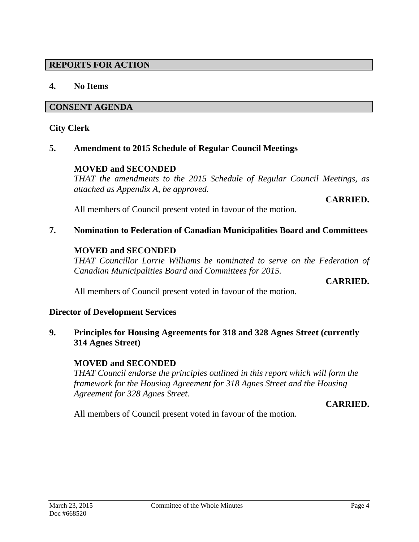## **REPORTS FOR ACTION**

## **4. No Items**

#### **CONSENT AGENDA**

#### **City Clerk**

#### **5. Amendment to 2015 Schedule of Regular Council Meetings**

#### **MOVED and SECONDED**

*THAT the amendments to the 2015 Schedule of Regular Council Meetings, as attached as Appendix A, be approved.* 

#### **CARRIED.**

All members of Council present voted in favour of the motion.

#### **7. Nomination to Federation of Canadian Municipalities Board and Committees**

#### **MOVED and SECONDED**

*THAT Councillor Lorrie Williams be nominated to serve on the Federation of Canadian Municipalities Board and Committees for 2015.*

**CARRIED.**

All members of Council present voted in favour of the motion.

#### **Director of Development Services**

**9. Principles for Housing Agreements for 318 and 328 Agnes Street (currently 314 Agnes Street)**

## **MOVED and SECONDED**

*THAT Council endorse the principles outlined in this report which will form the framework for the Housing Agreement for 318 Agnes Street and the Housing Agreement for 328 Agnes Street.*

#### **CARRIED.**

All members of Council present voted in favour of the motion.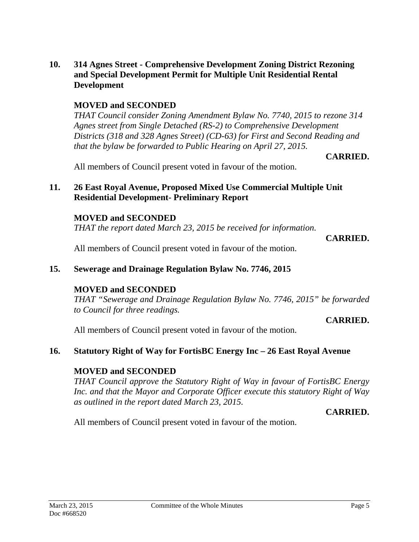#### **10. 314 Agnes Street - Comprehensive Development Zoning District Rezoning and Special Development Permit for Multiple Unit Residential Rental Development**

# **MOVED and SECONDED**

*THAT Council consider Zoning Amendment Bylaw No. 7740, 2015 to rezone 314 Agnes street from Single Detached (RS-2) to Comprehensive Development Districts (318 and 328 Agnes Street) (CD-63) for First and Second Reading and that the bylaw be forwarded to Public Hearing on April 27, 2015.*

## **CARRIED.**

All members of Council present voted in favour of the motion.

## **11. 26 East Royal Avenue, Proposed Mixed Use Commercial Multiple Unit Residential Development- Preliminary Report**

#### **MOVED and SECONDED**

*THAT the report dated March 23, 2015 be received for information.*

**CARRIED.**

All members of Council present voted in favour of the motion.

## **15. Sewerage and Drainage Regulation Bylaw No. 7746, 2015**

## **MOVED and SECONDED**

*THAT "Sewerage and Drainage Regulation Bylaw No. 7746, 2015" be forwarded to Council for three readings.*

#### **CARRIED.**

All members of Council present voted in favour of the motion.

## **16. Statutory Right of Way for FortisBC Energy Inc – 26 East Royal Avenue**

## **MOVED and SECONDED**

*THAT Council approve the Statutory Right of Way in favour of FortisBC Energy Inc. and that the Mayor and Corporate Officer execute this statutory Right of Way as outlined in the report dated March 23, 2015.*

**CARRIED.**

All members of Council present voted in favour of the motion.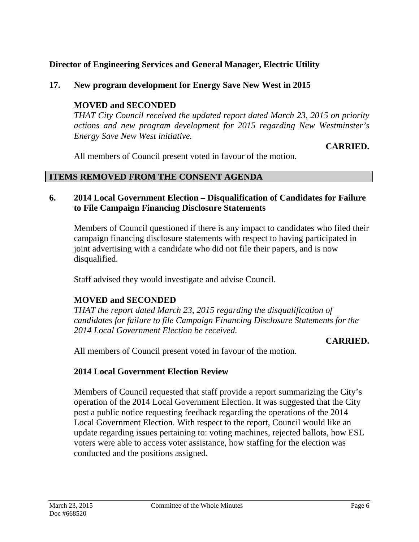# **Director of Engineering Services and General Manager, Electric Utility**

# **17. New program development for Energy Save New West in 2015**

## **MOVED and SECONDED**

*THAT City Council received the updated report dated March 23, 2015 on priority actions and new program development for 2015 regarding New Westminster's Energy Save New West initiative.*

## **CARRIED.**

All members of Council present voted in favour of the motion.

## **ITEMS REMOVED FROM THE CONSENT AGENDA**

## **6. 2014 Local Government Election – Disqualification of Candidates for Failure to File Campaign Financing Disclosure Statements**

Members of Council questioned if there is any impact to candidates who filed their campaign financing disclosure statements with respect to having participated in joint advertising with a candidate who did not file their papers, and is now disqualified.

Staff advised they would investigate and advise Council.

# **MOVED and SECONDED**

*THAT the report dated March 23, 2015 regarding the disqualification of candidates for failure to file Campaign Financing Disclosure Statements for the 2014 Local Government Election be received.*

## **CARRIED.**

All members of Council present voted in favour of the motion.

## **2014 Local Government Election Review**

Members of Council requested that staff provide a report summarizing the City's operation of the 2014 Local Government Election. It was suggested that the City post a public notice requesting feedback regarding the operations of the 2014 Local Government Election. With respect to the report, Council would like an update regarding issues pertaining to: voting machines, rejected ballots, how ESL voters were able to access voter assistance, how staffing for the election was conducted and the positions assigned.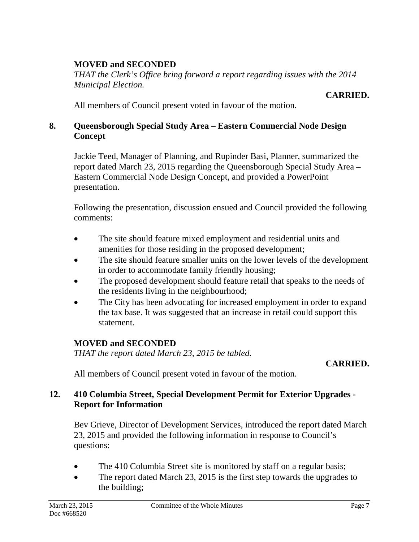# **MOVED and SECONDED**

*THAT the Clerk's Office bring forward a report regarding issues with the 2014 Municipal Election.* 

#### **CARRIED.**

All members of Council present voted in favour of the motion.

## **8. Queensborough Special Study Area – Eastern Commercial Node Design Concept**

Jackie Teed, Manager of Planning, and Rupinder Basi, Planner, summarized the report dated March 23, 2015 regarding the Queensborough Special Study Area – Eastern Commercial Node Design Concept, and provided a PowerPoint presentation.

Following the presentation, discussion ensued and Council provided the following comments:

- The site should feature mixed employment and residential units and amenities for those residing in the proposed development;
- The site should feature smaller units on the lower levels of the development in order to accommodate family friendly housing;
- The proposed development should feature retail that speaks to the needs of the residents living in the neighbourhood;
- The City has been advocating for increased employment in order to expand the tax base. It was suggested that an increase in retail could support this statement.

# **MOVED and SECONDED**

*THAT the report dated March 23, 2015 be tabled.*

# **CARRIED.**

All members of Council present voted in favour of the motion.

# **12. 410 Columbia Street, Special Development Permit for Exterior Upgrades - Report for Information**

Bev Grieve, Director of Development Services, introduced the report dated March 23, 2015 and provided the following information in response to Council's questions:

- The 410 Columbia Street site is monitored by staff on a regular basis;
- The report dated March 23, 2015 is the first step towards the upgrades to the building;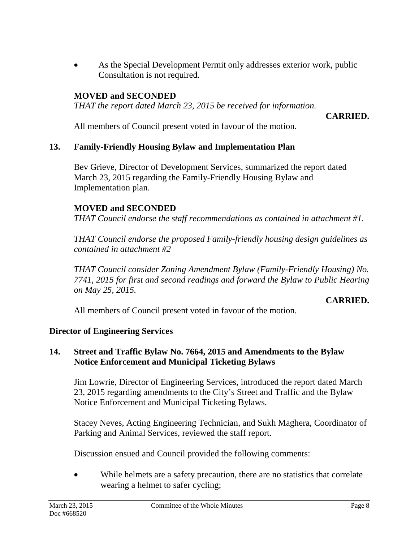• As the Special Development Permit only addresses exterior work, public Consultation is not required.

# **MOVED and SECONDED**

*THAT the report dated March 23, 2015 be received for information.*

**CARRIED.**

All members of Council present voted in favour of the motion.

# **13. Family-Friendly Housing Bylaw and Implementation Plan**

Bev Grieve, Director of Development Services, summarized the report dated March 23, 2015 regarding the Family-Friendly Housing Bylaw and Implementation plan.

# **MOVED and SECONDED**

*THAT Council endorse the staff recommendations as contained in attachment #1.*

*THAT Council endorse the proposed Family-friendly housing design guidelines as contained in attachment #2*

*THAT Council consider Zoning Amendment Bylaw (Family-Friendly Housing) No. 7741, 2015 for first and second readings and forward the Bylaw to Public Hearing on May 25, 2015.*

## **CARRIED.**

All members of Council present voted in favour of the motion.

# **Director of Engineering Services**

## **14. Street and Traffic Bylaw No. 7664, 2015 and Amendments to the Bylaw Notice Enforcement and Municipal Ticketing Bylaws**

Jim Lowrie, Director of Engineering Services, introduced the report dated March 23, 2015 regarding amendments to the City's Street and Traffic and the Bylaw Notice Enforcement and Municipal Ticketing Bylaws.

Stacey Neves, Acting Engineering Technician, and Sukh Maghera, Coordinator of Parking and Animal Services, reviewed the staff report.

Discussion ensued and Council provided the following comments:

While helmets are a safety precaution, there are no statistics that correlate wearing a helmet to safer cycling;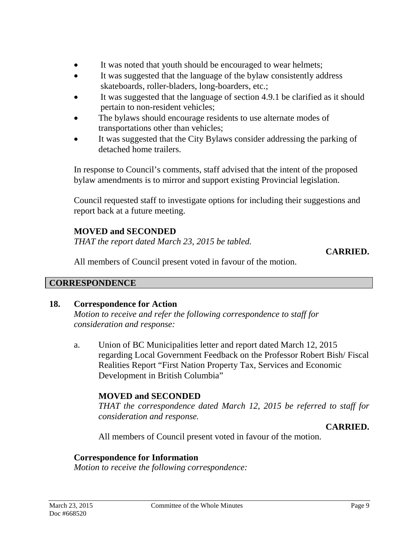- It was noted that youth should be encouraged to wear helmets;
- It was suggested that the language of the bylaw consistently address skateboards, roller-bladers, long-boarders, etc.;
- It was suggested that the language of section 4.9.1 be clarified as it should pertain to non-resident vehicles;
- The bylaws should encourage residents to use alternate modes of transportations other than vehicles;
- It was suggested that the City Bylaws consider addressing the parking of detached home trailers.

In response to Council's comments, staff advised that the intent of the proposed bylaw amendments is to mirror and support existing Provincial legislation.

Council requested staff to investigate options for including their suggestions and report back at a future meeting.

# **MOVED and SECONDED**

*THAT the report dated March 23, 2015 be tabled.*

**CARRIED.**

All members of Council present voted in favour of the motion.

# **CORRESPONDENCE**

# **18. Correspondence for Action**

*Motion to receive and refer the following correspondence to staff for consideration and response:*

a. Union of BC Municipalities letter and report dated March 12, 2015 regarding Local Government Feedback on the Professor Robert Bish/ Fiscal Realities Report "First Nation Property Tax, Services and Economic Development in British Columbia"

# **MOVED and SECONDED**

*THAT the correspondence dated March 12, 2015 be referred to staff for consideration and response.*

# **CARRIED.**

All members of Council present voted in favour of the motion.

# **Correspondence for Information**

*Motion to receive the following correspondence:*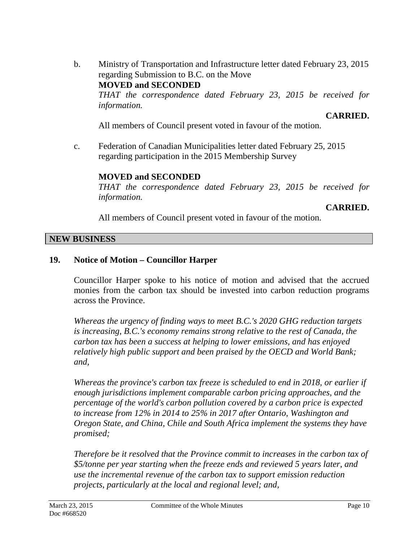b. Ministry of Transportation and Infrastructure letter dated February 23, 2015 regarding Submission to B.C. on the Move **MOVED and SECONDED** *THAT the correspondence dated February 23, 2015 be received for information.*

**CARRIED.**

All members of Council present voted in favour of the motion.

c. Federation of Canadian Municipalities letter dated February 25, 2015 regarding participation in the 2015 Membership Survey

# **MOVED and SECONDED**

*THAT the correspondence dated February 23, 2015 be received for information.*

**CARRIED.**

All members of Council present voted in favour of the motion.

## **NEW BUSINESS**

# **19. Notice of Motion – Councillor Harper**

Councillor Harper spoke to his notice of motion and advised that the accrued monies from the carbon tax should be invested into carbon reduction programs across the Province.

*Whereas the urgency of finding ways to meet B.C.'s 2020 GHG reduction targets is increasing, B.C.'s economy remains strong relative to the rest of Canada, the carbon tax has been a success at helping to lower emissions, and has enjoyed relatively high public support and been praised by the OECD and World Bank; and,*

*Whereas the province's carbon tax freeze is scheduled to end in 2018, or earlier if enough jurisdictions implement comparable carbon pricing approaches, and the percentage of the world's carbon pollution covered by a carbon price is expected to increase from 12% in 2014 to 25% in 2017 after Ontario, Washington and Oregon State, and China, Chile and South Africa implement the systems they have promised;*

*Therefore be it resolved that the Province commit to increases in the carbon tax of \$5/tonne per year starting when the freeze ends and reviewed 5 years later, and use the incremental revenue of the carbon tax to support emission reduction projects, particularly at the local and regional level; and,*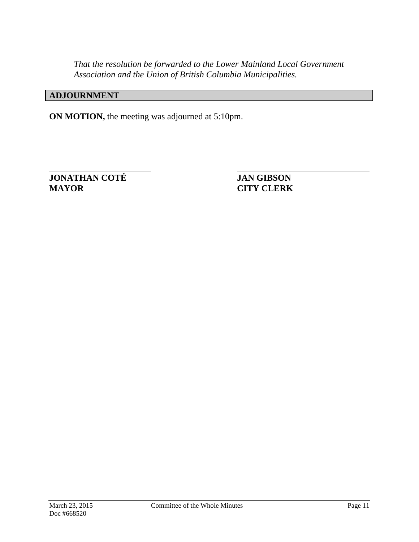*That the resolution be forwarded to the Lower Mainland Local Government Association and the Union of British Columbia Municipalities.*

# **ADJOURNMENT**

**ON MOTION,** the meeting was adjourned at 5:10pm.

**JONATHAN COTÉ JAN GIBSON MAYOR CITY CLERK**